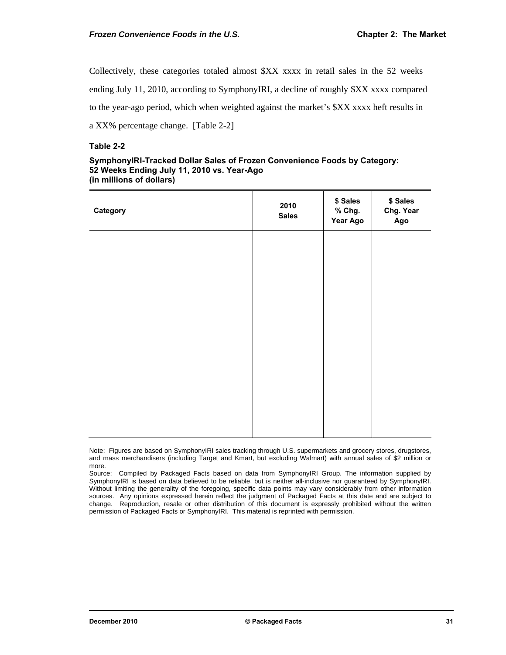Collectively, these categories totaled almost \$XX xxxx in retail sales in the 52 weeks

ending July 11, 2010, according to SymphonyIRI, a decline of roughly \$XX xxxx compared

to the year-ago period, which when weighted against the market's \$XX xxxx heft results in

a XX% percentage change. [Table 2-2]

## **Table 2-2**

## **SymphonyIRI-Tracked Dollar Sales of Frozen Convenience Foods by Category: 52 Weeks Ending July 11, 2010 vs. Year-Ago (in millions of dollars)**

| Category | 2010<br><b>Sales</b> | \$ Sales<br>% Chg.<br>Year Ago | \$ Sales<br>Chg. Year<br>Ago |
|----------|----------------------|--------------------------------|------------------------------|
|          |                      |                                |                              |
|          |                      |                                |                              |
|          |                      |                                |                              |
|          |                      |                                |                              |
|          |                      |                                |                              |

Note: Figures are based on SymphonyIRI sales tracking through U.S. supermarkets and grocery stores, drugstores, and mass merchandisers (including Target and Kmart, but excluding Walmart) with annual sales of \$2 million or more.

Source: Compiled by Packaged Facts based on data from SymphonyIRI Group. The information supplied by SymphonyIRI is based on data believed to be reliable, but is neither all-inclusive nor quaranteed by SymphonyIRI. Without limiting the generality of the foregoing, specific data points may vary considerably from other information sources. Any opinions expressed herein reflect the judgment of Packaged Facts at this date and are subject to change. Reproduction, resale or other distribution of this document is expressly prohibited without the written permission of Packaged Facts or SymphonyIRI. This material is reprinted with permission.